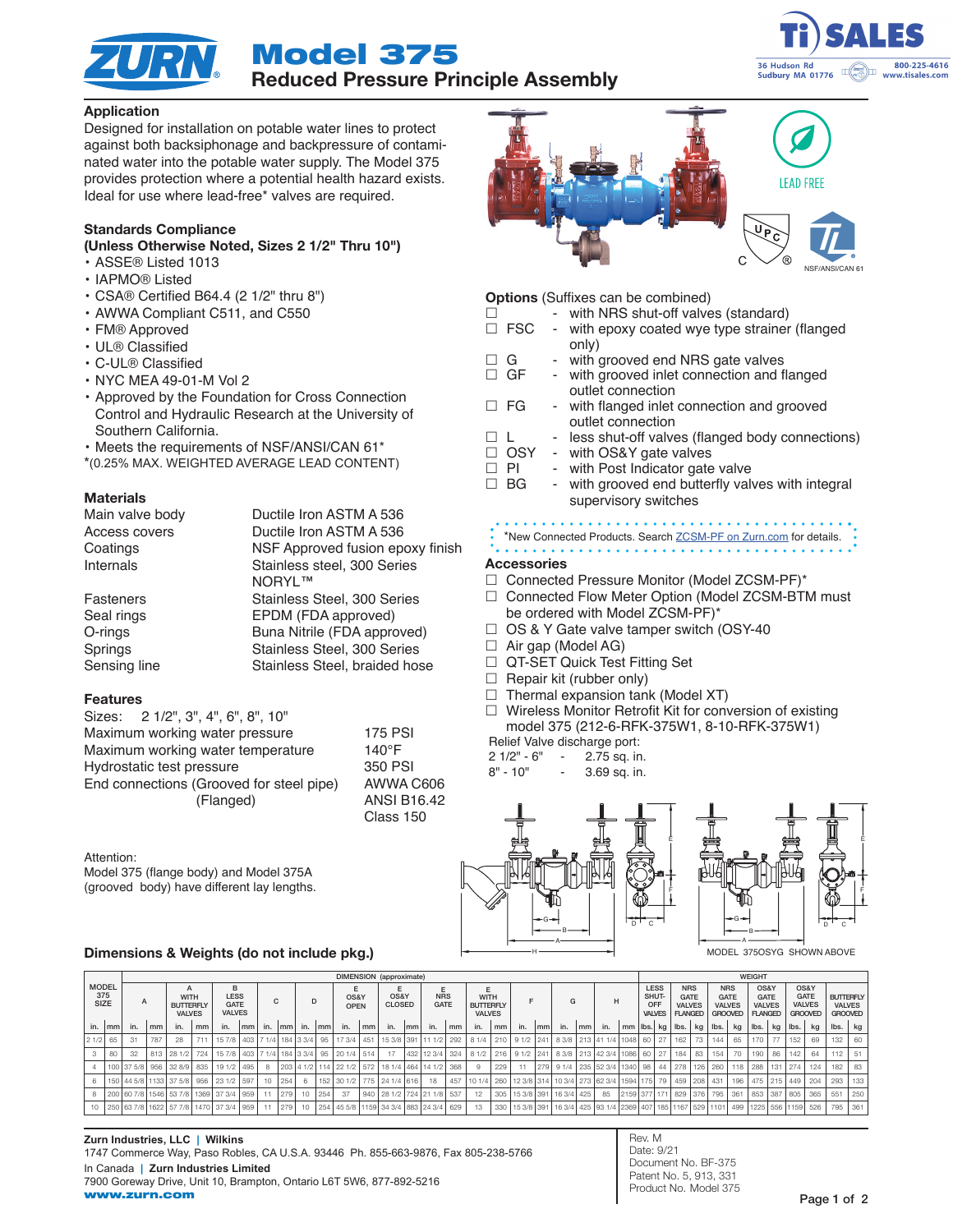

Model 375 Reduced Pressure Principle Assembly



## Application

Designed for installation on potable water lines to protect against both backsiphonage and backpressure of contaminated water into the potable water supply. The Model 375 provides protection where a potential health hazard exists. Ideal for use where lead-free\* valves are required.

### Standards Compliance

(Unless Otherwise Noted, Sizes 2 1/2" Thru 10")

- ASSE® Listed 1013
- IAPMO® Listed
- CSA® Certified B64.4 (2 1/2" thru 8")
- AWWA Compliant C511, and C550
- FM® Approved
- UL® Classified
- C-UL® Classified
- NYC MEA 49-01-M Vol 2
- Approved by the Foundation for Cross Connection Control and Hydraulic Research at the University of Southern California.
- Meets the requirements of NSF/ANSI/CAN 61\*
- \*(0.25% MAX. WEIGHTED AVERAGE LEAD CONTENT)

### **Materials**

| Main valve body  | Ductile Iron ASTM A 536          |
|------------------|----------------------------------|
| Access covers    | Ductile Iron ASTM A 536          |
| Coatings         | NSF Approved fusion epoxy finish |
| Internals        | Stainless steel, 300 Series      |
|                  | NORYL™                           |
| <b>Fasteners</b> | Stainless Steel, 300 Series      |
| Seal rings       | EPDM (FDA approved)              |
| O-rings          | Buna Nitrile (FDA approved)      |
| Springs          | Stainless Steel, 300 Series      |
| Sensing line     | Stainless Steel, braided hose    |
|                  |                                  |

### Features

| Sizes: 2 1/2", 3", 4", 6", 8", 10"       |                    |
|------------------------------------------|--------------------|
| Maximum working water pressure           | <b>175 PSI</b>     |
| Maximum working water temperature        | $140^{\circ}$ F    |
| Hydrostatic test pressure                | 350 PSI            |
| End connections (Grooved for steel pipe) | AWWA C606          |
| (Flanged)                                | <b>ANSI B16.42</b> |
|                                          | Class 150          |

#### Attention:

Model 375 (flange body) and Model 375A (grooved body) have different lay lengths.

### Dimensions & Weights (do not include pkg.)

|               |                             | DIMENSION (approximate) |                                                  |                           |                                           |                                             |        |     |     |               |                     |                                          |                       |                                      |                                |            | <b>WEIGHT</b>                                         |     |     |     |    |                       |     |                                                                                                             |                                              |  |                                                       |                                 |                                                              |                  |                                                        |         |                                                        |                      |                                                     |      |     |
|---------------|-----------------------------|-------------------------|--------------------------------------------------|---------------------------|-------------------------------------------|---------------------------------------------|--------|-----|-----|---------------|---------------------|------------------------------------------|-----------------------|--------------------------------------|--------------------------------|------------|-------------------------------------------------------|-----|-----|-----|----|-----------------------|-----|-------------------------------------------------------------------------------------------------------------|----------------------------------------------|--|-------------------------------------------------------|---------------------------------|--------------------------------------------------------------|------------------|--------------------------------------------------------|---------|--------------------------------------------------------|----------------------|-----------------------------------------------------|------|-----|
|               | <b>MODEL</b><br>375<br>SIZE |                         | <b>WITH</b><br><b>BUTTERFLY</b><br><b>VALVES</b> |                           | B<br>LESS<br><b>GATE</b><br><b>VALVES</b> |                                             | C      |     |     |               | OS&Y<br><b>OPEN</b> |                                          | OS&Y<br><b>CLOSED</b> |                                      | Е<br><b>NRS</b><br><b>GATE</b> |            | E<br><b>WITH</b><br><b>BUTTERFLY</b><br><b>VALVES</b> |     |     |     | G  |                       | H   |                                                                                                             | <b>LESS</b><br>SHUT-<br>OFF<br><b>VALVES</b> |  | <b>NRS</b><br>GATE<br><b>VALVES</b><br><b>FLANGED</b> |                                 | <b>NRS</b><br><b>GATE</b><br><b>VALVES</b><br><b>GROOVED</b> |                  | OS&Y<br><b>GATE</b><br><b>VALVES</b><br><b>FLANGED</b> |         | OS&Y<br><b>GATE</b><br><b>VALVES</b><br><b>GROOVED</b> |                      | <b>BUTTERFLY</b><br><b>VALVES</b><br><b>GROOVED</b> |      |     |
|               | in. Imml                    | in.                     | l mm                                             | in.                       | mm                                        | in.                                         | l mm l | in. |     | Imml in. Imml |                     | in.                                      | mm                    | in.                                  | mm                             | in.        | mm                                                    | in. | mm  | in. | mm | in.                   | lmm | in.                                                                                                         | mm                                           |  |                                                       | $ $ lbs. $ $ kg $ $ lbs. $ $ kg |                                                              | $\mathsf{Ibs}$ . | kg                                                     | lbs.    | kg                                                     | $\vert$ lbs. $\vert$ | ka                                                  | lbs. | kg  |
| $21/2$ 65     |                             | 31                      | 787                                              | 28                        | 711                                       |                                             |        |     |     |               |                     | 15 7/8 403 7 1/4 184 3 3/4 95 17 3/4     | 451                   | 15 3/8 391 11 1/2                    |                                |            | 292                                                   |     |     |     |    |                       |     | 8 1/4 210 9 1/2 241 8 3/8 213 41 1/4 1048 60                                                                |                                              |  |                                                       | $27$   162   73                 |                                                              | 144              | 65                                                     | 170     | 77                                                     | 152                  | 69                                                  | 132  | 60  |
| $\mathcal{B}$ | 80                          | -32                     |                                                  | 813 28 1/2 724            |                                           |                                             |        |     |     |               |                     | 15 7/8 403 7 1/4 184 3 3/4 95 20 1/4 514 |                       | 17                                   |                                | 432 12 3/4 | 324                                                   |     |     |     |    |                       |     | 8 1/2 216 9 1/2 241 8 3/8 213 42 3/4 1086 60                                                                |                                              |  | 27                                                    | 184                             | 83                                                           | 154              | 70                                                     | 190     | 86                                                     | 142                  | 64                                                  | 112  | 51  |
|               |                             |                         |                                                  | 100 37 5/8 956 32 8/9 835 |                                           | 19 1/2 495                                  |        | -8  |     |               |                     | 203 4 1/2 114 22 1/2 572                 |                       | 18 1/4 464 14 1/2                    |                                |            | 368                                                   |     | 229 |     |    |                       |     | 279   9 1/4   235   52 3/4   1340   98                                                                      |                                              |  |                                                       | 44 278 126 260                  |                                                              |                  | 118                                                    | 288     | 131 274                                                |                      | 124                                                 | 182  | 83  |
| 6             |                             |                         |                                                  |                           |                                           | 150 44 5/8 1133 37 5/8 956 23 1/2 597       |        | 10  | 254 | - 6 - 1       |                     |                                          |                       | 152   30 1/2   775   24 1/4   616    |                                | 18         | 457                                                   |     |     |     |    |                       |     | 10 1/4 260 12 3/8 314 10 3/4 273 62 3/4 1594 175 79 1459 208 431                                            |                                              |  |                                                       |                                 |                                                              |                  |                                                        | 196 475 |                                                        | 215 449 204          |                                                     | 293  | 133 |
|               |                             |                         |                                                  |                           |                                           | 8 200 60 7/8 1546 53 7/8 1369 37 3/4 959    |        | 11  | 279 |               | $10$   254          | 37                                       |                       | 940 28 1/2 724 21 1/8 537            |                                |            |                                                       | 12  | 305 |     |    | 15 3/8 391 16 3/4 425 |     | 85                                                                                                          | 2159 377 171   829   376   795               |  |                                                       |                                 |                                                              |                  | 361                                                    | 853     | 387 805                                                |                      | 365                                                 | 551  | 250 |
|               |                             |                         |                                                  |                           |                                           | 10 250 63 7/8 1622 57 7/8 1470 37 3/4 959 1 |        | 11  | 279 |               |                     |                                          |                       | 10 254 45 5/8 1159 34 3/4 883 24 3/4 |                                |            | 629                                                   |     | 330 |     |    |                       |     | 15 3/8   391   16 3/4   425   93 1/4   2369   407   185   1167   529   1101   499   1225   556   1159   526 |                                              |  |                                                       |                                 |                                                              |                  |                                                        |         |                                                        |                      |                                                     | 795  | 361 |

Rev. M Date: 9/21 Document No. BF-375 Patent No. 5, 913, 331 Product No. Model 375



### Options (Suffixes can be combined)

- $\Box$  with NRS shut-off valves (standard)
- $\Box$  FSC with epoxy coated wye type strainer (flanged only)
- $\Box$  G with grooved end NRS gate valves  $\Box$  GF with grooved inlet connection and f
	- with grooved inlet connection and flanged outlet connection
- $\Box$  FG with flanged inlet connection and grooved outlet connection
- $\Box$  L less shut-off valves (flanged body connections)<br> $\Box$  OSY with OS&Y gate valves
- with OS&Y gate valves  $\Box$  PI - with Post Indicator gate valve
- $\Box$  BG with grooved end butterfly valves with integral supervisory switches

\*New Connected Products. Search [ZCSM-PF on Zurn.com](https://www.zurn.com/products/connected-products/zcsm-pf-with-zcsm-btm) for details. 

#### Accessories

- □ Connected Pressure Monitor (Model ZCSM-PF)\*
- □ Connected Flow Meter Option (Model ZCSM-BTM must be ordered with Model ZCSM-PF)\*
- $\Box$  OS & Y Gate valve tamper switch (OSY-40
- $\Box$  Air gap (Model AG)
- □ QT-SET Quick Test Fitting Set
- $\Box$  Repair kit (rubber only)
- $\Box$  Thermal expansion tank (Model XT)
- $\Box$  Wireless Monitor Retrofit Kit for conversion of existing model 375 (212-6-RFK-375W1, 8-10-RFK-375W1)

# Relief Valve discharge port:

A B

H

- 2 1/2" 6" 2.75 sq. in.
- 8" 10" 3.69 sq. in.
	- D C B E F <sup>G</sup> <sup>D</sup> <sup>C</sup> <sup>G</sup> A MODEL 375OSYG SHOWN ABOVE

E

F